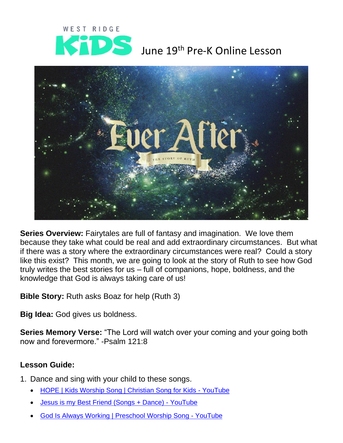

## June 19<sup>th</sup> Pre-K Online Lesson



**Series Overview:** Fairytales are full of fantasy and imagination. We love them because they take what could be real and add extraordinary circumstances. But what if there was a story where the extraordinary circumstances were real? Could a story like this exist? This month, we are going to look at the story of Ruth to see how God truly writes the best stories for us – full of companions, hope, boldness, and the knowledge that God is always taking care of us!

**Bible Story:** Ruth asks Boaz for help (Ruth 3)

**Big Idea:** God gives us boldness.

**Series Memory Verse:** "The Lord will watch over your coming and your going both now and forevermore." -Psalm 121:8

## **Lesson Guide:**

- 1. Dance and sing with your child to these songs.
	- [HOPE | Kids Worship Song | Christian Song for Kids -](https://www.youtube.com/watch?v=r_t5xitQjIc) YouTube
	- [Jesus is my Best Friend \(Songs + Dance\) -](https://www.youtube.com/watch?v=jCfHHotTAis) YouTube
	- [God Is Always Working | Preschool Worship Song -](https://www.youtube.com/watch?v=JiaRAXhGS0U) YouTube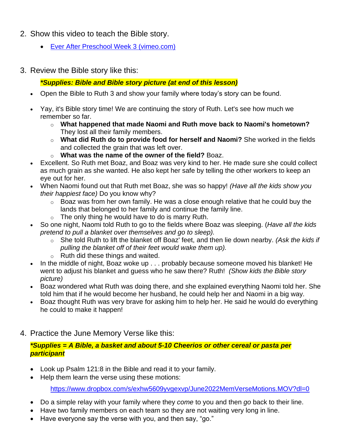- 2. Show this video to teach the Bible story.
	- [Ever After Preschool Week 3 \(vimeo.com\)](https://vimeo.com/690666797/9f6d98d165)
- 3. Review the Bible story like this:

*\*Supplies: Bible and Bible story picture (at end of this lesson)*

- Open the Bible to Ruth 3 and show your family where today's story can be found.
- Yay, it's Bible story time! We are continuing the story of Ruth. Let's see how much we remember so far.
	- o **What happened that made Naomi and Ruth move back to Naomi's hometown?**  They lost all their family members.
	- o **What did Ruth do to provide food for herself and Naomi?** She worked in the fields and collected the grain that was left over.
	- o **What was the name of the owner of the field?** Boaz.
- Excellent. So Ruth met Boaz, and Boaz was very kind to her. He made sure she could collect as much grain as she wanted. He also kept her safe by telling the other workers to keep an eye out for her.
- When Naomi found out that Ruth met Boaz, she was so happy! *(Have all the kids show you their happiest face)* Do you know why?
	- $\circ$  Boaz was from her own family. He was a close enough relative that he could buy the lands that belonged to her family and continue the family line.
	- $\circ$  The only thing he would have to do is marry Ruth.
- So one night, Naomi told Ruth to go to the fields where Boaz was sleeping. (*Have all the kids pretend to pull a blanket over themselves and go to sleep).* 
	- o She told Ruth to lift the blanket off Boaz' feet, and then lie down nearby. *(Ask the kids if pulling the blanket off of their feet would wake them up).*
	- o Ruth did these things and waited.
- In the middle of night, Boaz woke up . . . probably because someone moved his blanket! He went to adjust his blanket and guess who he saw there? Ruth! *(Show kids the Bible story picture)*
- Boaz wondered what Ruth was doing there, and she explained everything Naomi told her. She told him that if he would become her husband, he could help her and Naomi in a big way.
- Boaz thought Ruth was very brave for asking him to help her. He said he would do everything he could to make it happen!
- 4. Practice the June Memory Verse like this:

## *\*Supplies = A Bible, a basket and about 5-10 Cheerios or other cereal or pasta per participant*

- Look up Psalm 121:8 in the Bible and read it to your family.
- Help them learn the verse using these motions:

<https://www.dropbox.com/s/exhw5609yvgexvp/June2022MemVerseMotions.MOV?dl=0>

- Do a simple relay with your family where they *come* to you and then *go* back to their line.
- Have two family members on each team so they are not waiting very long in line.
- Have everyone say the verse with you, and then say, "go."